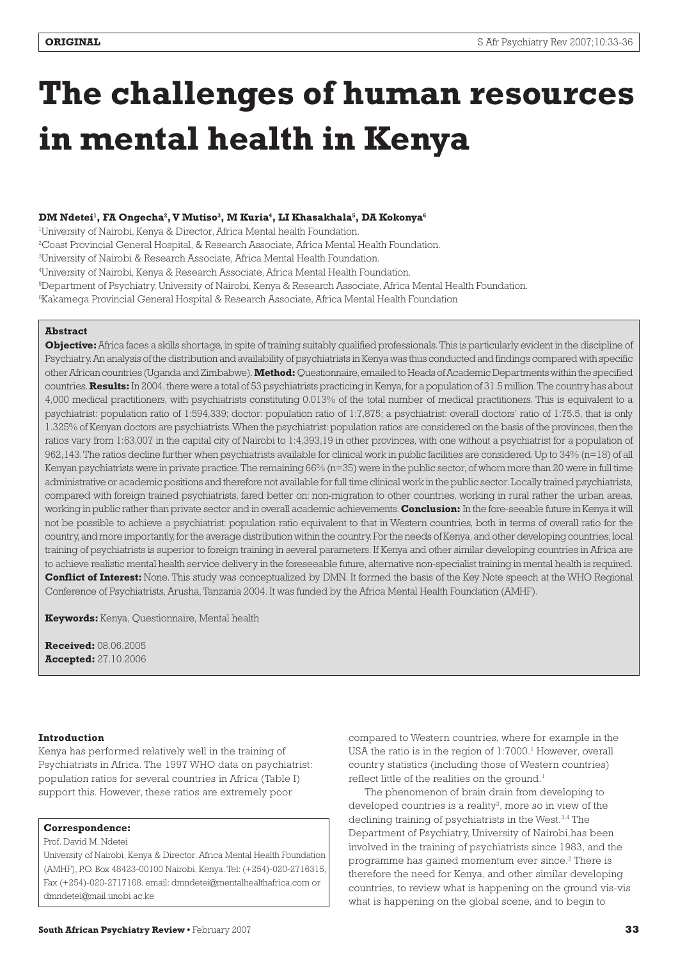# **The challenges of human resources in mental health in Kenya**

# **DM Ndetei1 , FA Ongecha2 , V Mutiso3 , M Kuria4 , LI Khasakhala5 , DA Kokonya6**

1 University of Nairobi, Kenya & Director, Africa Mental health Foundation.

2 Coast Provincial General Hospital, & Research Associate, Africa Mental Health Foundation.

3 University of Nairobi & Research Associate, Africa Mental Health Foundation.

4 University of Nairobi, Kenya & Research Associate, Africa Mental Health Foundation.

5 Department of Psychiatry, University of Nairobi, Kenya & Research Associate, Africa Mental Health Foundation.

6 Kakamega Provincial General Hospital & Research Associate, Africa Mental Health Foundation

# **Abstract**

**Objective:** Africa faces a skills shortage, in spite of training suitably qualified professionals. This is particularly evident in the discipline of Psychiatry. An analysis of the distribution and availability of psychiatrists in Kenya was thus conducted and findings compared with specific other African countries (Uganda and Zimbabwe). **Method:** Questionnaire, emailed to Heads of Academic Departments within the specified countries. **Results:**In 2004, there were a total of 53 psychiatrists practicing in Kenya, for a population of 31.5 million. The country has about 4,000 medical practitioners, with psychiatrists constituting 0.013% of the total number of medical practitioners. This is equivalent to a psychiatrist: population ratio of 1:594,339; doctor: population ratio of 1:7,875; a psychiatrist: overall doctors' ratio of 1:75.5, that is only 1.325% of Kenyan doctors are psychiatrists. When the psychiatrist: population ratios are considered on the basis of the provinces, then the ratios vary from 1:63,007 in the capital city of Nairobi to 1:4,393,19 in other provinces, with one without a psychiatrist for a population of 962,143. The ratios decline further when psychiatrists available for clinical work in public facilities are considered. Up to 34% (n=18) of all Kenyan psychiatrists were in private practice. The remaining 66% (n=35) were in the public sector, of whom more than 20 were in full time administrative or academic positions and therefore not available for full time clinical work in the public sector. Locally trained psychiatrists, compared with foreign trained psychiatrists, fared better on: non-migration to other countries, working in rural rather the urban areas, working in public rather than private sector and in overall academic achievements. **Conclusion:** In the fore-seeable future in Kenya it will not be possible to achieve a psychiatrist: population ratio equivalent to that in Western countries, both in terms of overall ratio for the country, and more importantly, for the average distribution within the country. For the needs of Kenya, and other developing countries, local training of psychiatrists is superior to foreign training in several parameters. If Kenya and other similar developing countries in Africa are to achieve realistic mental health service delivery in the foreseeable future, alternative non-specialist training in mental health is required. **Conflict of Interest:** None. This study was conceptualized by DMN. It formed the basis of the Key Note speech at the WHO Regional Conference of Psychiatrists, Arusha, Tanzania 2004. It was funded by the Africa Mental Health Foundation (AMHF).

**Keywords:** Kenya, Questionnaire, Mental health

**Received:** 08.06.2005 **Accepted:** 27.10.2006

## **Introduction**

Kenya has performed relatively well in the training of Psychiatrists in Africa. The 1997 WHO data on psychiatrist: population ratios for several countries in Africa (Table I) support this. However, these ratios are extremely poor

# **Correspondence:**

Prof. David M. Ndetei

University of Nairobi, Kenya & Director, Africa Mental Health Foundation (AMHF), P.O. Box 48423-00100 Nairobi, Kenya. Tel: (+254)-020-2716315, Fax (+254)-020-2717168. email: dmndetei@mentalhealthafrica.com or dmndetei@mail.unobi.ac.ke

compared to Western countries, where for example in the USA the ratio is in the region of  $1:7000.^1$  However, overall country statistics (including those of Western countries) reflect little of the realities on the ground.<sup>1</sup>

The phenomenon of brain drain from developing to developed countries is a reality $^{\scriptscriptstyle 2}$ , more so in view of the declining training of psychiatrists in the West.<sup>3,4</sup> The Department of Psychiatry, University of Nairobi,has been involved in the training of psychiatrists since 1983, and the programme has gained momentum ever since.<sup>2</sup> There is therefore the need for Kenya, and other similar developing countries, to review what is happening on the ground vis-vis what is happening on the global scene, and to begin to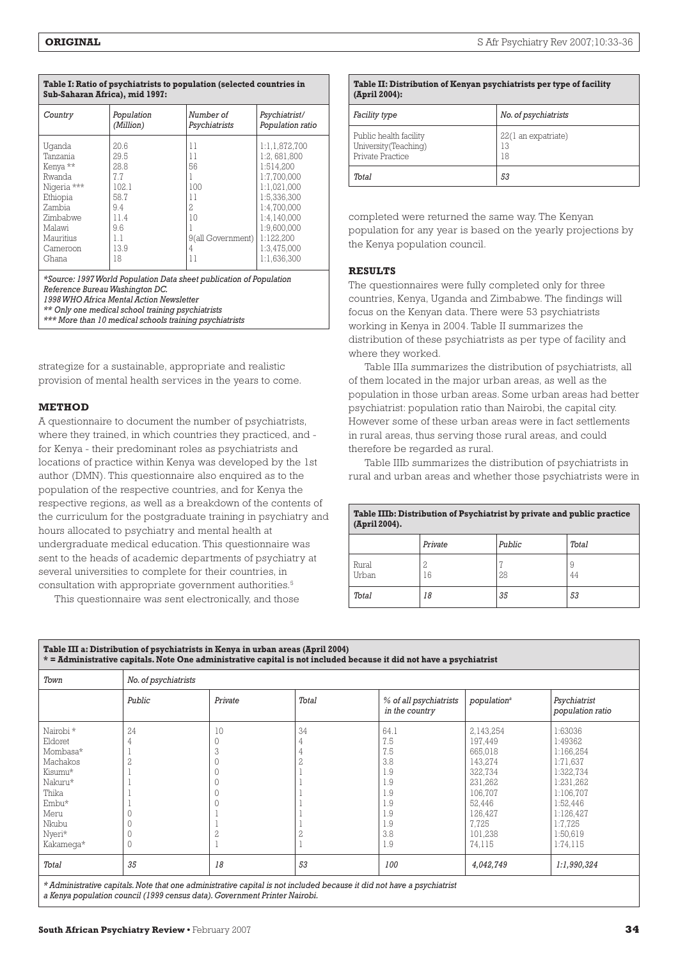| S Afr Psychiatry Rev 2007:10:33-36<br>. |
|-----------------------------------------|
|                                         |

| Country     | Population<br>(Million) | Number of<br>Psychiatrists | Psychiatrist/<br>Population ratio |  |
|-------------|-------------------------|----------------------------|-----------------------------------|--|
| Uganda      | 20.6                    | 11                         | 1:1,1,872,700                     |  |
| Tanzania    | 29.5                    | $\vert \vert$              | 1:2.681.800                       |  |
| Kenya **    | 28.8                    | 56                         | 1:514.200                         |  |
| Rwanda      | 7.7                     |                            | 1:7,700,000                       |  |
| Nigeria *** | 102.1                   | 100                        | 1:1,021,000                       |  |
| Ethiopia    | 58.7                    | 11                         | 1:5.336.300                       |  |
| Zambia      | 9.4                     | 2                          | 1:4.700.000                       |  |
| Zimbabwe    | 11.4                    | 10                         | 1:4.140.000                       |  |
| Malawi      | 9.6                     |                            | 1:9.600.000                       |  |
| Mauritius   | 1.1                     | 9(all Government)          | 1:122.200                         |  |
| Cameroon    | 13.9                    | 4                          | 1:3.475.000                       |  |
| Ghana       | 18                      | 11                         | 1:1.636.300                       |  |

**Table I: Ratio of psychiatrists to population (selected countries in Sub-Saharan Africa), mid 1997:**

*\*Source: 1997 World Population Data sheet publication of Population Reference Bureau Washington DC.*

*1998 WHO Africa Mental Action Newsletter*

*\*\* Only one medical school training psychiatrists*

*\*\*\* More than 10 medical schools training psychiatrists*

strategize for a sustainable, appropriate and realistic provision of mental health services in the years to come.

### **METHOD**

A questionnaire to document the number of psychiatrists, where they trained, in which countries they practiced, and for Kenya - their predominant roles as psychiatrists and locations of practice within Kenya was developed by the 1st author (DMN). This questionnaire also enquired as to the population of the respective countries, and for Kenya the respective regions, as well as a breakdown of the contents of the curriculum for the postgraduate training in psychiatry and hours allocated to psychiatry and mental health at undergraduate medical education. This questionnaire was sent to the heads of academic departments of psychiatry at several universities to complete for their countries, in consultation with appropriate government authorities.5

This questionnaire was sent electronically, and those

| Table II: Distribution of Kenyan psychiatrists per type of facility<br>(April 2004): |                                 |  |  |
|--------------------------------------------------------------------------------------|---------------------------------|--|--|
| No. of psychiatrists<br><b>Facility type</b>                                         |                                 |  |  |
| Public health facility<br>University(Teaching)<br>Private Practice                   | 22(1 an expatriate)<br>13<br>18 |  |  |
| Total                                                                                | 53                              |  |  |

completed were returned the same way. The Kenyan population for any year is based on the yearly projections by the Kenya population council.

### **RESULTS**

The questionnaires were fully completed only for three countries, Kenya, Uganda and Zimbabwe. The findings will focus on the Kenyan data. There were 53 psychiatrists working in Kenya in 2004. Table II summarizes the distribution of these psychiatrists as per type of facility and where they worked.

Table IIIa summarizes the distribution of psychiatrists, all of them located in the major urban areas, as well as the population in those urban areas. Some urban areas had better psychiatrist: population ratio than Nairobi, the capital city. However some of these urban areas were in fact settlements in rural areas, thus serving those rural areas, and could therefore be regarded as rural.

Table IIIb summarizes the distribution of psychiatrists in rural and urban areas and whether those psychiatrists were in

| Table IIIb: Distribution of Psychiatrist by private and public practice<br>(April 2004). |         |    |    |  |  |  |
|------------------------------------------------------------------------------------------|---------|----|----|--|--|--|
| Public<br>Private<br>Total                                                               |         |    |    |  |  |  |
| Rural<br>Urban                                                                           | 2<br>16 | 28 | 44 |  |  |  |
| Total                                                                                    | 18      | 35 | 53 |  |  |  |

| Town      |        | No. of psychiatrists |       |                                          |                         |                                  |  |  |
|-----------|--------|----------------------|-------|------------------------------------------|-------------------------|----------------------------------|--|--|
|           | Public | Private              | Total | % of all psychiatrists<br>in the country | population <sup>a</sup> | Psychiatrist<br>population ratio |  |  |
| Nairobi * | 24     | 10                   | 34    | 64.1                                     | 2,143,254               | 1:63036                          |  |  |
| Eldoret   |        | $\mathbf 0$          |       | 7.5                                      | 197,449                 | :49362                           |  |  |
| Mombasa*  |        | 3                    |       | 7.5                                      | 665,018                 | 1:166,254                        |  |  |
| Machakos  |        |                      |       | 3.8                                      | 143,274                 | 1:71,637                         |  |  |
| Kisumu*   |        |                      |       | 1.9                                      | 322,734                 | 1:322,734                        |  |  |
| Nakuru*   |        |                      |       | 1.9                                      | 231,262                 | 1:231,262                        |  |  |
| Thika     |        |                      |       | 1.9                                      | 106,707                 | 1:106,707                        |  |  |
| Embu*     |        |                      |       | 1.9                                      | 52,446                  | 1:52,446                         |  |  |
| Meru      |        |                      |       | 1.9                                      | 126.427                 | 1:126.427                        |  |  |
| Nkubu     |        |                      |       | 1.9                                      | 7.725                   | 1:7.725                          |  |  |
| Nyeri*    |        | 7                    |       | 3.8                                      | 101.238                 | 1:50.619                         |  |  |
| Kakamega* |        |                      |       | 1.9                                      | 74,115                  | 1:74,115                         |  |  |
|           |        |                      |       |                                          |                         |                                  |  |  |
| Total     | 35     | 18                   | 53    | 100                                      | 4,042,749               | 1:1,990,324                      |  |  |

*\* Administrative capitals. Note that one administrative capital is not included because it did not have a psychiatrist*

*a Kenya population council (1999 census data). Government Printer Nairobi.*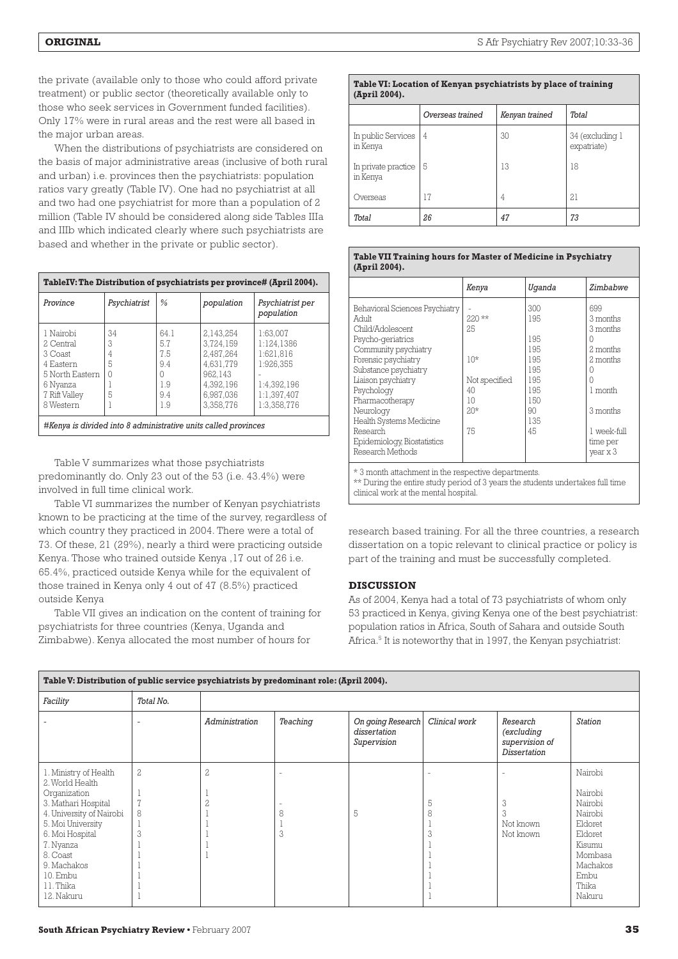the private (available only to those who could afford private treatment) or public sector (theoretically available only to those who seek services in Government funded facilities). Only 17% were in rural areas and the rest were all based in the major urban areas.

When the distributions of psychiatrists are considered on the basis of major administrative areas (inclusive of both rural and urban) i.e. provinces then the psychiatrists: population ratios vary greatly (Table IV). One had no psychiatrist at all and two had one psychiatrist for more than a population of 2 million (Table IV should be considered along side Tables IIIa and IIIb which indicated clearly where such psychiatrists are based and whether in the private or public sector).

| TableIV: The Distribution of psychiatrists per province# (April 2004).                                      |                             |                                                   |                                                                                                    |                                                                                               |  |  |
|-------------------------------------------------------------------------------------------------------------|-----------------------------|---------------------------------------------------|----------------------------------------------------------------------------------------------------|-----------------------------------------------------------------------------------------------|--|--|
| Province                                                                                                    | Psychiatrist                | $\frac{0}{6}$                                     | population                                                                                         | Psychiatrist per<br>population                                                                |  |  |
| 1 Nairobi<br>2 Central<br>3 Coast<br>4 Eastern<br>5 North Eastern<br>6 Nyanza<br>7 Rift Valley<br>8 Western | 34<br>3<br>4<br>5<br>0<br>5 | 64.1<br>57<br>7.5<br>9.4<br>Ω<br>19<br>9.4<br>1.9 | 2.143.254<br>3.724.159<br>2.487.264<br>4,631,779<br>962.143<br>4.392.196<br>6.987.036<br>3,358,776 | 1:63.007<br>1:124,1386<br>1:621.816<br>1:926.355<br>1:4.392.196<br>1:1.397.407<br>1:3.358.776 |  |  |
| #Kenya is divided into 8 administrative units called provinces                                              |                             |                                                   |                                                                                                    |                                                                                               |  |  |

Table V summarizes what those psychiatrists predominantly do. Only 23 out of the 53 (i.e. 43.4%) were involved in full time clinical work.

Table VI summarizes the number of Kenyan psychiatrists known to be practicing at the time of the survey, regardless of which country they practiced in 2004. There were a total of 73. Of these, 21 (29%), nearly a third were practicing outside Kenya. Those who trained outside Kenya ,17 out of 26 i.e. 65.4%, practiced outside Kenya while for the equivalent of those trained in Kenya only 4 out of 47 (8.5%) practiced outside Kenya

Table VII gives an indication on the content of training for psychiatrists for three countries (Kenya, Uganda and Zimbabwe). Kenya allocated the most number of hours for

| Table VI: Location of Kenyan psychiatrists by place of training<br>(April 2004). |                  |                |                                |  |  |  |
|----------------------------------------------------------------------------------|------------------|----------------|--------------------------------|--|--|--|
|                                                                                  | Overseas trained | Kenyan trained | Total                          |  |  |  |
| In public Services<br>in Kenya                                                   | 4                | 30             | 34 (excluding 1<br>expatriate) |  |  |  |
| In private practice<br>in Kenya                                                  |                  | 13             | 18                             |  |  |  |
| verseas                                                                          | 17               |                | 21                             |  |  |  |

### **Table VII Training hours for Master of Medicine in Psychiatry (April 2004).**

*Total 26 47 73*

|                                                                                                                                                                                            | Kenya                                         | Uganda                                               | Zimbabwe                                                       |
|--------------------------------------------------------------------------------------------------------------------------------------------------------------------------------------------|-----------------------------------------------|------------------------------------------------------|----------------------------------------------------------------|
| Behavioral Sciences Psychiatry<br>HuhA<br>Child/Adolescent<br>Psycho-geriatrics<br>Community psychiatry<br>Forensic psychiatry<br>Substance psychiatry<br>Liaison psychiatry<br>Psychology | $220**$<br>25<br>$10*$<br>Not specified<br>40 | 300<br>195<br>195<br>195<br>195<br>195<br>195<br>195 | 699<br>3 months<br>3 months<br>2 months<br>2 months<br>1 month |
| Pharmacotherapy<br>Neurology<br>Health Systems Medicine<br>Research<br>Epidemiology, Biostatistics<br>Research Methods                                                                     | 10<br>$20*$<br>75                             | 150<br>90<br>135<br>45                               | 3 months<br>l week-full<br>time per<br>year x 3                |

\* 3 month attachment in the respective departments.

\*\* During the entire study period of 3 years the students undertakes full time clinical work at the mental hospital.

research based training. For all the three countries, a research dissertation on a topic relevant to clinical practice or policy is part of the training and must be successfully completed.

# **DISCUSSION**

As of 2004, Kenya had a total of 73 psychiatrists of whom only 53 practiced in Kenya, giving Kenya one of the best psychiatrist: population ratios in Africa, South of Sahara and outside South Africa.<sup>5</sup> It is noteworthy that in 1997, the Kenyan psychiatrist:

| Table V: Distribution of public service psychiatrists by predominant role: (April 2004).                                                                                                                                           |                                          |                 |          |                                                  |               |                                                                 |                                                                                                                            |
|------------------------------------------------------------------------------------------------------------------------------------------------------------------------------------------------------------------------------------|------------------------------------------|-----------------|----------|--------------------------------------------------|---------------|-----------------------------------------------------------------|----------------------------------------------------------------------------------------------------------------------------|
| Facility                                                                                                                                                                                                                           | Total No.                                |                 |          |                                                  |               |                                                                 |                                                                                                                            |
|                                                                                                                                                                                                                                    | ٠                                        | Administration  | Teaching | On going Research<br>dissertation<br>Supervision | Clinical work | Research<br>(excluding<br>supervision of<br><b>Dissertation</b> | <b>Station</b>                                                                                                             |
| 1. Ministry of Health<br>2. World Health<br>Organization<br>3. Mathari Hospital<br>4. University of Nairobi<br>5. Moi University<br>6. Moi Hospital<br>7. Nyanza<br>8. Coast<br>9. Machakos<br>10. Embu<br>11. Thika<br>12. Nakuru | $\mathbf{2}$<br>$\overline{1}$<br>8<br>3 | 2<br>$\sqrt{2}$ | 8<br>3   | 5                                                | 5<br>8<br>J.  | 3<br>3<br>Not known<br>Not known                                | Nairobi<br>Nairobi<br>Nairobi<br>Nairobi<br>Eldoret<br>Eldoret<br>Kisumu<br>Mombasa<br>Machakos<br>Embu<br>Thika<br>Nakuru |